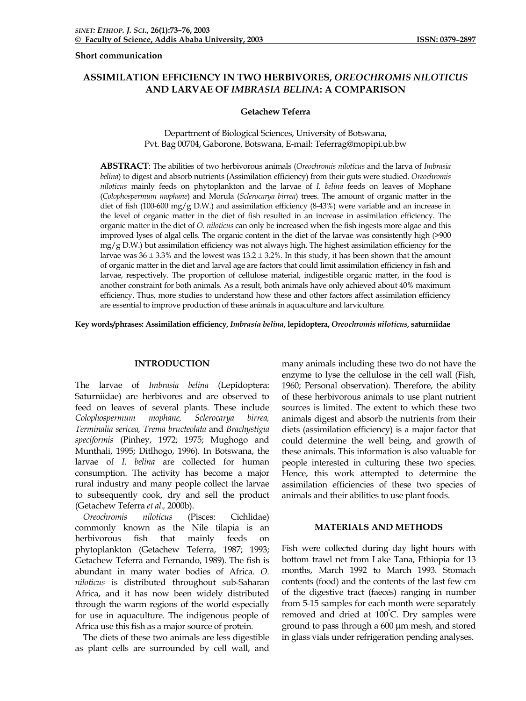**Short communication** 

# **ASSIMILATION EFFICIENCY IN TWO HERBIVORES,** *OREOCHROMIS NILOTICUS* **AND LARVAE OF** *IMBRASIA BELINA***: A COMPARISON**

### **Getachew Teferra**

Department of Biological Sciences, University of Botswana, Pvt. Bag 00704, Gaborone, Botswana, E-mail: Teferrag@mopipi.ub.bw

**ABSTRACT**: The abilities of two herbivorous animals (*Oreochromis niloticus* and the larva of *Imbrasia belina*) to digest and absorb nutrients (Assimilation efficiency) from their guts were studied. *Oreochromis niloticus* mainly feeds on phytoplankton and the larvae of *I. belina* feeds on leaves of Mophane (*Colophospermum mophane*) and Morula (*Sclerocarya birrea*) trees. The amount of organic matter in the diet of fish (100-600 mg/g D.W.) and assimilation efficiency (8-43%) were variable and an increase in the level of organic matter in the diet of fish resulted in an increase in assimilation efficiency. The organic matter in the diet of *O. niloticus* can only be increased when the fish ingests more algae and this improved lyses of algal cells. The organic content in the diet of the larvae was consistently high (>900  $mg/g$  D.W.) but assimilation efficiency was not always high. The highest assimilation efficiency for the larvae was  $36 \pm 3.3\%$  and the lowest was  $13.2 \pm 3.2\%$ . In this study, it has been shown that the amount of organic matter in the diet and larval age are factors that could limit assimilation efficiency in fish and larvae, respectively. The proportion of cellulose material, indigestible organic matter, in the food is another constraint for both animals. As a result, both animals have only achieved about 40% maximum efficiency. Thus, more studies to understand how these and other factors affect assimilation efficiency are essential to improve production of these animals in aquaculture and larviculture.

**Key words/phrases: Assimilation efficiency,** *Imbrasia belina***, lepidoptera,** *Oreochromis niloticus***, saturniidae** 

#### **INTRODUCTION**

The larvae of *Imbrasia belina* (Lepidoptera: Saturniidae) are herbivores and are observed to feed on leaves of several plants. These include *Colophospermum mophane, Sclerocarya birrea, Terminalia sericea, Trema bructeolata* and *Brachystigia speciformis* (Pinhey, 1972; 1975; Mughogo and Munthali, 1995; Ditlhogo, 1996). In Botswana, the larvae of *I. belina* are collected for human consumption. The activity has become a major rural industry and many people collect the larvae to subsequently cook, dry and sell the product (Getachew Teferra *et al.,* 2000b).

*Oreochromis niloticus* (Pisces: Cichlidae) commonly known as the Nile tilapia is an herbivorous fish that mainly feeds on phytoplankton (Getachew Teferra, 1987; 1993; Getachew Teferra and Fernando, 1989). The fish is abundant in many water bodies of Africa. *O. niloticus* is distributed throughout sub-Saharan Africa, and it has now been widely distributed through the warm regions of the world especially for use in aquaculture. The indigenous people of Africa use this fish as a major source of protein.

 The diets of these two animals are less digestible as plant cells are surrounded by cell wall, and many animals including these two do not have the enzyme to lyse the cellulose in the cell wall (Fish, 1960; Personal observation). Therefore, the ability of these herbivorous animals to use plant nutrient sources is limited. The extent to which these two animals digest and absorb the nutrients from their diets (assimilation efficiency) is a major factor that could determine the well being, and growth of these animals. This information is also valuable for people interested in culturing these two species. Hence, this work attempted to determine the assimilation efficiencies of these two species of animals and their abilities to use plant foods.

## **MATERIALS AND METHODS**

Fish were collected during day light hours with bottom trawl net from Lake Tana, Ethiopia for 13 months, March 1992 to March 1993. Stomach contents (food) and the contents of the last few cm of the digestive tract (faeces) ranging in number from 5-15 samples for each month were separately removed and dried at 100°C. Dry samples were ground to pass through a 600 µm mesh, and stored in glass vials under refrigeration pending analyses.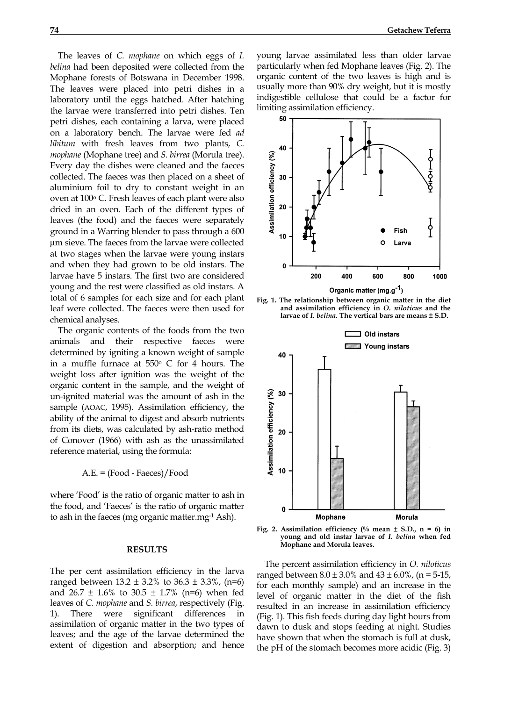The leaves of *C. mophane* on which eggs of *I. belina* had been deposited were collected from the Mophane forests of Botswana in December 1998. The leaves were placed into petri dishes in a laboratory until the eggs hatched. After hatching the larvae were transferred into petri dishes. Ten petri dishes, each containing a larva, were placed on a laboratory bench. The larvae were fed *ad libitum* with fresh leaves from two plants, *C. mophane* (Mophane tree) and *S. birrea* (Morula tree). Every day the dishes were cleaned and the faeces collected. The faeces was then placed on a sheet of aluminium foil to dry to constant weight in an oven at 100°C. Fresh leaves of each plant were also dried in an oven. Each of the different types of leaves (the food) and the faeces were separately ground in a Warring blender to pass through a 600 µm sieve. The faeces from the larvae were collected at two stages when the larvae were young instars and when they had grown to be old instars. The larvae have 5 instars. The first two are considered young and the rest were classified as old instars. A total of 6 samples for each size and for each plant leaf were collected. The faeces were then used for chemical analyses.

The organic contents of the foods from the two animals and their respective faeces were determined by igniting a known weight of sample in a muffle furnace at  $550^{\circ}$  C for 4 hours. The weight loss after ignition was the weight of the organic content in the sample, and the weight of un-ignited material was the amount of ash in the sample (AOAC, 1995). Assimilation efficiency, the ability of the animal to digest and absorb nutrients from its diets, was calculated by ash-ratio method of Conover (1966) with ash as the unassimilated reference material, using the formula:

#### A.E. = (Food - Faeces)/Food

where 'Food' is the ratio of organic matter to ash in the food, and 'Faeces' is the ratio of organic matter to ash in the faeces (mg organic matter.mg-1 Ash).

#### **RESULTS**

The per cent assimilation efficiency in the larva ranged between  $13.2 \pm 3.2\%$  to  $36.3 \pm 3.3\%$ , (n=6) and  $26.7 \pm 1.6\%$  to  $30.5 \pm 1.7\%$  (n=6) when fed leaves of *C. mophane* and *S. birrea*, respectively (Fig. 1). There were significant differences in assimilation of organic matter in the two types of leaves; and the age of the larvae determined the extent of digestion and absorption; and hence young larvae assimilated less than older larvae particularly when fed Mophane leaves (Fig. 2). The organic content of the two leaves is high and is usually more than 90% dry weight, but it is mostly indigestible cellulose that could be a factor for limiting assimilation efficiency.



**Fig. 1. The relationship between organic matter in the diet and assimilation efficiency in** *O. niloticus* **and the larvae of** *I. belina.* **The vertical bars are means ± S.D.**



**Fig. 2. Assimilation efficiency (% mean** ± **S.D., n = 6) in young and old instar larvae of** *I. belina* **when fed Mophane and Morula leaves.** 

The percent assimilation efficiency in *O. niloticus* ranged between  $8.0 \pm 3.0\%$  and  $43 \pm 6.0\%$ , (n = 5-15, for each monthly sample) and an increase in the level of organic matter in the diet of the fish resulted in an increase in assimilation efficiency (Fig. 1). This fish feeds during day light hours from dawn to dusk and stops feeding at night. Studies have shown that when the stomach is full at dusk, the pH of the stomach becomes more acidic (Fig. 3)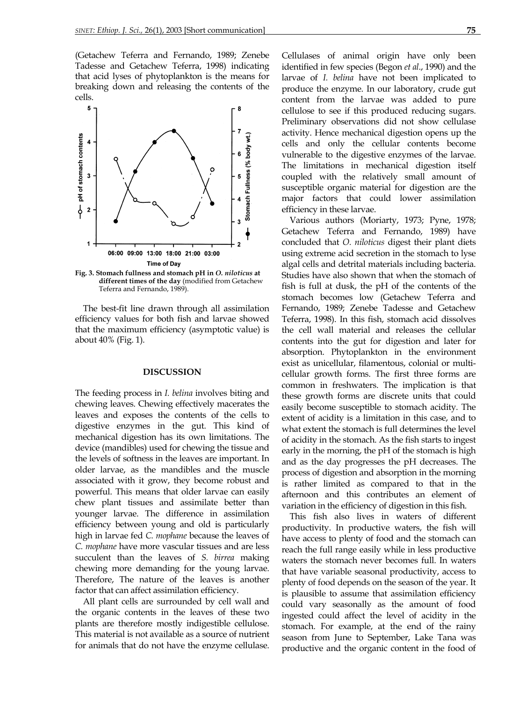(Getachew Teferra and Fernando, 1989; Zenebe Tadesse and Getachew Teferra, 1998) indicating that acid lyses of phytoplankton is the means for breaking down and releasing the contents of the cells.



**Fig. 3. Stomach fullness and stomach pH in** *O. niloticus* **at different times of the day** (modified from Getachew Teferra and Fernando, 1989).

The best-fit line drawn through all assimilation efficiency values for both fish and larvae showed that the maximum efficiency (asymptotic value) is about 40% (Fig. 1).

### **DISCUSSION**

The feeding process in *I. belina* involves biting and chewing leaves. Chewing effectively macerates the leaves and exposes the contents of the cells to digestive enzymes in the gut. This kind of mechanical digestion has its own limitations. The device (mandibles) used for chewing the tissue and the levels of softness in the leaves are important. In older larvae, as the mandibles and the muscle associated with it grow, they become robust and powerful. This means that older larvae can easily chew plant tissues and assimilate better than younger larvae. The difference in assimilation efficiency between young and old is particularly high in larvae fed *C. mophane* because the leaves of *C. mophane* have more vascular tissues and are less succulent than the leaves of *S. birrea* making chewing more demanding for the young larvae. Therefore, The nature of the leaves is another factor that can affect assimilation efficiency.

All plant cells are surrounded by cell wall and the organic contents in the leaves of these two plants are therefore mostly indigestible cellulose. This material is not available as a source of nutrient for animals that do not have the enzyme cellulase.

Cellulases of animal origin have only been identified in few species (Begon *et al*., 1990) and the larvae of *I. belina* have not been implicated to produce the enzyme. In our laboratory, crude gut content from the larvae was added to pure cellulose to see if this produced reducing sugars. Preliminary observations did not show cellulase activity. Hence mechanical digestion opens up the cells and only the cellular contents become vulnerable to the digestive enzymes of the larvae. The limitations in mechanical digestion itself coupled with the relatively small amount of susceptible organic material for digestion are the major factors that could lower assimilation efficiency in these larvae.

Various authors (Moriarty, 1973; Pyne, 1978; Getachew Teferra and Fernando, 1989) have concluded that *O. niloticus* digest their plant diets using extreme acid secretion in the stomach to lyse algal cells and detrital materials including bacteria. Studies have also shown that when the stomach of fish is full at dusk, the pH of the contents of the stomach becomes low (Getachew Teferra and Fernando, 1989; Zenebe Tadesse and Getachew Teferra, 1998). In this fish, stomach acid dissolves the cell wall material and releases the cellular contents into the gut for digestion and later for absorption. Phytoplankton in the environment exist as unicellular, filamentous, colonial or multicellular growth forms. The first three forms are common in freshwaters. The implication is that these growth forms are discrete units that could easily become susceptible to stomach acidity. The extent of acidity is a limitation in this case, and to what extent the stomach is full determines the level of acidity in the stomach. As the fish starts to ingest early in the morning, the pH of the stomach is high and as the day progresses the pH decreases. The process of digestion and absorption in the morning is rather limited as compared to that in the afternoon and this contributes an element of variation in the efficiency of digestion in this fish.

This fish also lives in waters of different productivity. In productive waters, the fish will have access to plenty of food and the stomach can reach the full range easily while in less productive waters the stomach never becomes full. In waters that have variable seasonal productivity, access to plenty of food depends on the season of the year. It is plausible to assume that assimilation efficiency could vary seasonally as the amount of food ingested could affect the level of acidity in the stomach. For example, at the end of the rainy season from June to September, Lake Tana was productive and the organic content in the food of